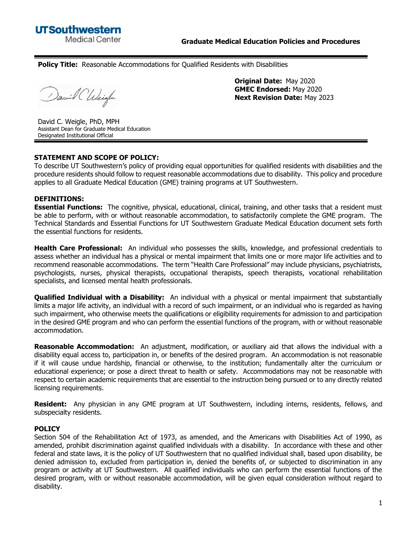**Policy Title:** Reasonable Accommodations for Qualified Residents with Disabilities

David Chleigh

**Original Date:** May 2020 **GMEC Endorsed:** May 2020 **Next Revision Date:** May 2023

David C. Weigle, PhD, MPH Assistant Dean for Graduate Medical Education Designated Institutional Official

## **STATEMENT AND SCOPE OF POLICY:**

To describe UT Southwestern's policy of providing equal opportunities for qualified residents with disabilities and the procedure residents should follow to request reasonable accommodations due to disability. This policy and procedure applies to all Graduate Medical Education (GME) training programs at UT Southwestern.

## **DEFINITIONS:**

**Essential Functions:** The cognitive, physical, educational, clinical, training, and other tasks that a resident must be able to perform, with or without reasonable accommodation, to satisfactorily complete the GME program. The Technical Standards and Essential Functions for UT Southwestern Graduate Medical Education document sets forth the essential functions for residents.

**Health Care Professional:** An individual who possesses the skills, knowledge, and professional credentials to assess whether an individual has a physical or mental impairment that limits one or more major life activities and to recommend reasonable accommodations. The term "Health Care Professional" may include physicians, psychiatrists, psychologists, nurses, physical therapists, occupational therapists, speech therapists, vocational rehabilitation specialists, and licensed mental health professionals.

**Qualified Individual with a Disability:** An individual with a physical or mental impairment that substantially limits a major life activity, an individual with a record of such impairment, or an individual who is regarded as having such impairment, who otherwise meets the qualifications or eligibility requirements for admission to and participation in the desired GME program and who can perform the essential functions of the program, with or without reasonable accommodation.

**Reasonable Accommodation:** An adjustment, modification, or auxiliary aid that allows the individual with a disability equal access to, participation in, or benefits of the desired program. An accommodation is not reasonable if it will cause undue hardship, financial or otherwise, to the institution; fundamentally alter the curriculum or educational experience; or pose a direct threat to health or safety. Accommodations may not be reasonable with respect to certain academic requirements that are essential to the instruction being pursued or to any directly related licensing requirements.

**Resident:** Any physician in any GME program at UT Southwestern, including interns, residents, fellows, and subspecialty residents.

## **POLICY**

Section 504 of the Rehabilitation Act of 1973, as amended, and the Americans with Disabilities Act of 1990, as amended, prohibit discrimination against qualified individuals with a disability. In accordance with these and other federal and state laws, it is the policy of UT Southwestern that no qualified individual shall, based upon disability, be denied admission to, excluded from participation in, denied the benefits of, or subjected to discrimination in any program or activity at UT Southwestern. All qualified individuals who can perform the essential functions of the desired program, with or without reasonable accommodation, will be given equal consideration without regard to disability.